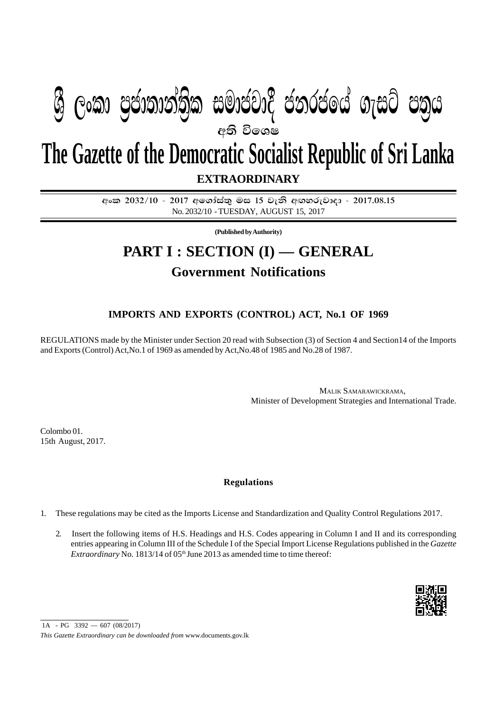## අති වි**ශෙ**ෂ **EXTRAORDINARY The Gazette of the Democratic Socialist Republic of Sri Lanka ශී ලංකා පුජාතාන්තික සමාජවාදී ජනරජයේ ගැසට් පතුය**

අංක 2032/10 - 2017 අගෝස්තු මස 15 වැනි අඟහරුවාදා - 2017.08.15 No. 2032/10 - TUESDAY, AUGUST 15, 2017

**(Published by Authority)**

## **PART I : SECTION (I) — GENERAL Government Notifications**

## **IMPORTS AND EXPORTS (CONTROL) ACT, No.1 OF 1969**

REGULATIONS made by the Minister under Section 20 read with Subsection (3) of Section 4 and Section14 of the Imports and Exports (Control) Act,No.1 of 1969 as amended by Act,No.48 of 1985 and No.28 of 1987.

> MALIK SAMARAWICKRAMA, Minister of Development Strategies and International Trade.

Colombo 01. 15th August, 2017.

## **Regulations**

- 1. These regulations may be cited as the Imports License and Standardization and Quality Control Regulations 2017.
	- 2. Insert the following items of H.S. Headings and H.S. Codes appearing in Column I and II and its corresponding entries appearing in Column III of the Schedule I of the Special Import License Regulations published in the *Gazette Extraordinary* No. 1813/14 of 05<sup>th</sup> June 2013 as amended time to time thereof:



 $1A - PG$  3392 — 607 (08/2017)

*This Gazette Extraordinary can be downloaded from* www.documents.gov.lk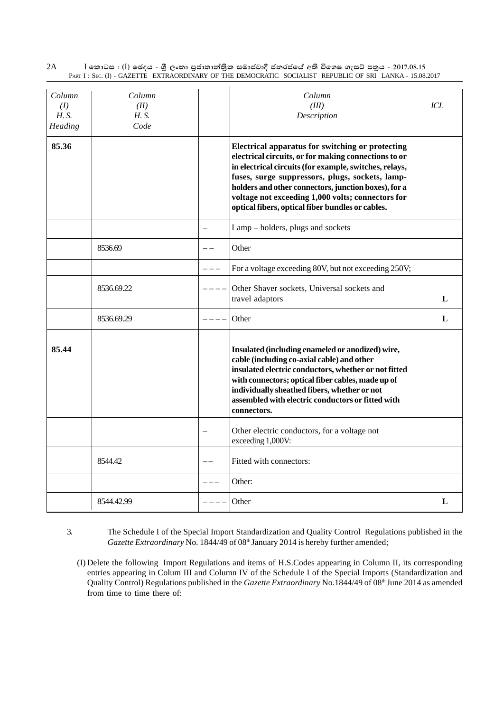2A I කොටස : (I) ඡෙදය - ශීු ලංකා පුජාතාන්තිුක සමාජවාදී ජනරජයේ අති විශෙෂ ගැසට් පතුය - 2017.08.15 PART I : SEC. (I) - GAZETTE EXTRAORDINARY OF THE DEMOCRATIC SOCIALIST REPUBLIC OF SRI LANKA - 15.08.2017

| Column<br>(I)<br><i>H.S.</i><br>Heading | Column<br>(II)<br><i>H.S.</i><br>Code |   | Column<br>(III)<br>Description                                                                                                                                                                                                                                                                                                                                                                | ICL |
|-----------------------------------------|---------------------------------------|---|-----------------------------------------------------------------------------------------------------------------------------------------------------------------------------------------------------------------------------------------------------------------------------------------------------------------------------------------------------------------------------------------------|-----|
| 85.36                                   |                                       |   | <b>Electrical apparatus for switching or protecting</b><br>electrical circuits, or for making connections to or<br>in electrical circuits (for example, switches, relays,<br>fuses, surge suppressors, plugs, sockets, lamp-<br>holders and other connectors, junction boxes), for a<br>voltage not exceeding 1,000 volts; connectors for<br>optical fibers, optical fiber bundles or cables. |     |
|                                         |                                       | ÷ | Lamp – holders, plugs and sockets                                                                                                                                                                                                                                                                                                                                                             |     |
|                                         | 8536.69                               |   | Other                                                                                                                                                                                                                                                                                                                                                                                         |     |
|                                         |                                       |   | For a voltage exceeding 80V, but not exceeding 250V;                                                                                                                                                                                                                                                                                                                                          |     |
|                                         | 8536.69.22                            |   | Other Shaver sockets, Universal sockets and<br>travel adaptors                                                                                                                                                                                                                                                                                                                                | L   |
|                                         | 8536.69.29                            |   | Other                                                                                                                                                                                                                                                                                                                                                                                         | L   |
| 85.44                                   |                                       |   | Insulated (including enameled or anodized) wire,<br>cable (including co-axial cable) and other<br>insulated electric conductors, whether or not fitted<br>with connectors; optical fiber cables, made up of<br>individually sheathed fibers, whether or not<br>assembled with electric conductors or fitted with<br>connectors.                                                               |     |
|                                         |                                       |   | Other electric conductors, for a voltage not<br>exceeding 1,000V:                                                                                                                                                                                                                                                                                                                             |     |
|                                         | 8544.42                               |   | Fitted with connectors:                                                                                                                                                                                                                                                                                                                                                                       |     |
|                                         |                                       |   | Other:                                                                                                                                                                                                                                                                                                                                                                                        |     |
|                                         | 8544.42.99                            |   | Other                                                                                                                                                                                                                                                                                                                                                                                         | L   |

- 3. The Schedule I of the Special Import Standardization and Quality Control Regulations published in the Gazette Extraordinary No. 1844/49 of 08<sup>th</sup> January 2014 is hereby further amended;
	- (I) Delete the following Import Regulations and items of H.S.Codes appearing in Column II, its corresponding entries appearing in Colum III and Column IV of the Schedule I of the Special Imports (Standardization and Quality Control) Regulations published in the *Gazette Extraordinary* No.1844/49 of 08<sup>th</sup> June 2014 as amended from time to time there of: